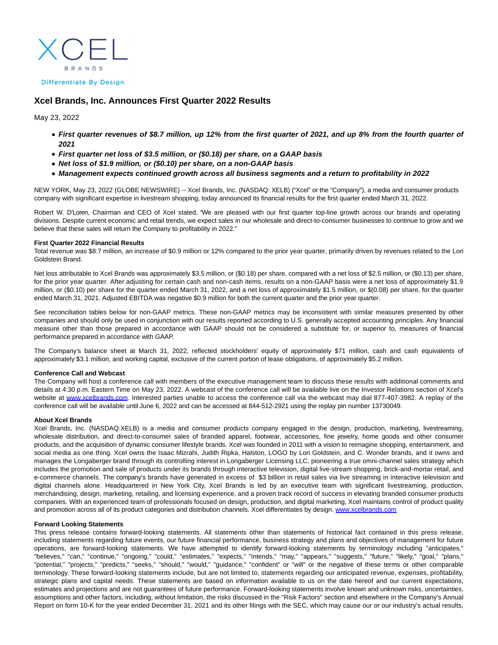**BRANDS Differentiate By Design** 

# **Xcel Brands, Inc. Announces First Quarter 2022 Results**

May 23, 2022

- **First quarter revenues of \$8.7 million, up 12% from the first quarter of 2021, and up 8% from the fourth quarter of 2021**
- **First quarter net loss of \$3.5 million, or (\$0.18) per share, on a GAAP basis**
- **Net loss of \$1.9 million, or (\$0.10) per share, on a non-GAAP basis**
- **Management expects continued growth across all business segments and a return to profitability in 2022**

NEW YORK, May 23, 2022 (GLOBE NEWSWIRE) -- Xcel Brands, Inc. (NASDAQ: XELB) ("Xcel" or the "Company"), a media and consumer products company with significant expertise in livestream shopping, today announced its financial results for the first quarter ended March 31, 2022.

Robert W. D'Loren, Chairman and CEO of Xcel stated, "We are pleased with our first quarter top-line growth across our brands and operating divisions. Despite current economic and retail trends, we expect sales in our wholesale and direct-to-consumer businesses to continue to grow and we believe that these sales will return the Company to profitability in 2022."

#### **First Quarter 2022 Financial Results**

Total revenue was \$8.7 million, an increase of \$0.9 million or 12% compared to the prior year quarter, primarily driven by revenues related to the Lori Goldstein Brand.

Net loss attributable to Xcel Brands was approximately \$3.5 million, or (\$0.18) per share, compared with a net loss of \$2.5 million, or (\$0.13) per share, for the prior year quarter. After adjusting for certain cash and non-cash items, results on a non-GAAP basis were a net loss of approximately \$1.9 million, or (\$0.10) per share for the quarter ended March 31, 2022, and a net loss of approximately \$1.5 million, or \$(0.08) per share, for the quarter ended March 31, 2021. Adjusted EBITDA was negative \$0.9 million for both the current quarter and the prior year quarter.

See reconciliation tables below for non-GAAP metrics. These non-GAAP metrics may be inconsistent with similar measures presented by other companies and should only be used in conjunction with our results reported according to U.S. generally accepted accounting principles. Any financial measure other than those prepared in accordance with GAAP should not be considered a substitute for, or superior to, measures of financial performance prepared in accordance with GAAP.

The Company's balance sheet at March 31, 2022, reflected stockholders' equity of approximately \$71 million, cash and cash equivalents of approximately \$3.1 million, and working capital, exclusive of the current portion of lease obligations, of approximately \$5.2 million.

### **Conference Call and Webcast**

The Company will host a conference call with members of the executive management team to discuss these results with additional comments and details at 4:30 p.m. Eastern Time on May 23, 2022. A webcast of the conference call will be available live on the Investor Relations section of Xcel's website at [www.xcelbrands.com.](http://www.xcelbrands.com/) Interested parties unable to access the conference call via the webcast may dial 877-407-3982. A replay of the conference call will be available until June 6, 2022 and can be accessed at 844-512-2921 using the replay pin number 13730049.

#### **About Xcel Brands**

Xcel Brands, Inc. (NASDAQ:XELB) is a media and consumer products company engaged in the design, production, marketing, livestreaming, wholesale distribution, and direct-to-consumer sales of branded apparel, footwear, accessories, fine jewelry, home goods and other consumer products, and the acquisition of dynamic consumer lifestyle brands. Xcel was founded in 2011 with a vision to reimagine shopping, entertainment, and social media as one thing. Xcel owns the Isaac Mizrahi, Judith Ripka, Halston, LOGO by Lori Goldstein, and C. Wonder brands, and it owns and manages the Longaberger brand through its controlling interest in Longaberger Licensing LLC, pioneering a true omni-channel sales strategy which includes the promotion and sale of products under its brands through interactive television, digital live-stream shopping, brick-and-mortar retail, and e-commerce channels. The company's brands have generated in excess of \$3 billion in retail sales via live streaming in interactive television and digital channels alone. Headquartered in New York City, Xcel Brands is led by an executive team with significant livestreaming, production, merchandising, design, marketing, retailing, and licensing experience, and a proven track record of success in elevating branded consumer products companies. With an experienced team of professionals focused on design, production, and digital marketing, Xcel maintains control of product quality and promotion across all of its product categories and distribution channels. Xcel differentiates by design. [www.xcelbrands.com](https://www.globenewswire.com/Tracker?data=vUlA631lpdaXOJGw7BkK4pLBT-7RyDh6f8b1rtfYrXzPg0x-lAksLvQuJ9-PjmJnVc3Pn6HnVWpUyz-fjO_GLvtkWFlpjmb_4AUVDd1q7QU=)

### **Forward Looking Statements**

This press release contains forward-looking statements. All statements other than statements of historical fact contained in this press release, including statements regarding future events, our future financial performance, business strategy and plans and objectives of management for future operations, are forward-looking statements. We have attempted to identify forward-looking statements by terminology including "anticipates," "believes," "can," "continue," "ongoing," "could," "estimates," "expects," "intends," "may," "appears," "suggests," "future," "likely," "goal," "plans," "potential," "projects," "predicts," "seeks," "should," "would," "guidance," "confident" or "will" or the negative of these terms or other comparable terminology. These forward-looking statements include, but are not limited to, statements regarding our anticipated revenue, expenses, profitability, strategic plans and capital needs. These statements are based on information available to us on the date hereof and our current expectations, estimates and projections and are not guarantees of future performance. Forward-looking statements involve known and unknown risks, uncertainties, assumptions and other factors, including, without limitation, the risks discussed in the "Risk Factors" section and elsewhere in the Company's Annual Report on form 10-K for the year ended December 31, 2021 and its other filings with the SEC, which may cause our or our industry's actual results,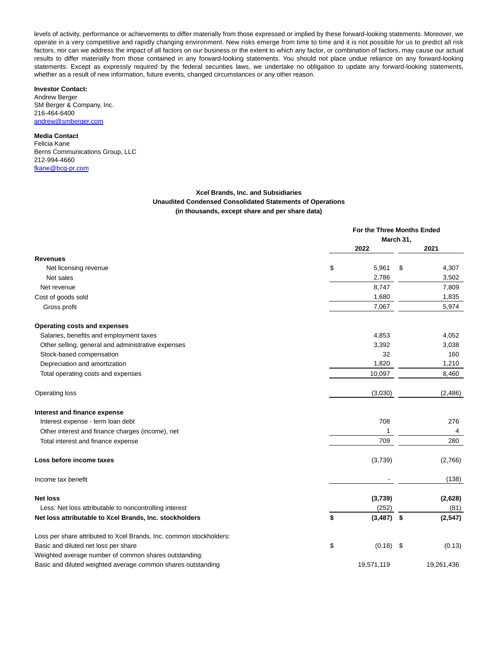levels of activity, performance or achievements to differ materially from those expressed or implied by these forward-looking statements. Moreover, we operate in a very competitive and rapidly changing environment. New risks emerge from time to time and it is not possible for us to predict all risk factors, nor can we address the impact of all factors on our business or the extent to which any factor, or combination of factors, may cause our actual results to differ materially from those contained in any forward-looking statements. You should not place undue reliance on any forward-looking statements. Except as expressly required by the federal securities laws, we undertake no obligation to update any forward-looking statements, whether as a result of new information, future events, changed circumstances or any other reason.

## **Investor Contact:**

Andrew Berger SM Berger & Company, Inc. 216-464-6400 [andrew@smberger.com](https://www.globenewswire.com/Tracker?data=QciC6xEGFoiiSlRDmQvrjLOVtvqempDjXKisvkUnUGxt747sqGMmhmlzM3JDl-Vetogq-UsTD4VfGncdd9sHMj1OaWKnbD2jFrpD7UkPbWM=)

## **Media Contact**

Felicia Kane Berns Communications Group, LLC 212-994-4660 [fkane@bcg-pr.com](https://www.globenewswire.com/Tracker?data=KEzKsWq2kWH2eJ4v2zkDGaigwEKA942eUMBdWSmLLzJQkIcG0MuKn5L5MIF4pL2IjbulkYbJH5WioRXYgxQbIA==)

## **Xcel Brands, Inc. and Subsidiaries Unaudited Condensed Consolidated Statements of Operations (in thousands, except share and per share data)**

|                                                                     | For the Three Months Ended |              |    |            |
|---------------------------------------------------------------------|----------------------------|--------------|----|------------|
|                                                                     | March 31,                  |              |    |            |
|                                                                     |                            | 2022         |    | 2021       |
| <b>Revenues</b>                                                     |                            |              |    |            |
| Net licensing revenue                                               | \$                         | 5,961        | \$ | 4,307      |
| Net sales                                                           |                            | 2,786        |    | 3,502      |
| Net revenue                                                         |                            | 8,747        |    | 7,809      |
| Cost of goods sold                                                  |                            | 1,680        |    | 1,835      |
| Gross profit                                                        |                            | 7,067        |    | 5,974      |
| Operating costs and expenses                                        |                            |              |    |            |
| Salaries, benefits and employment taxes                             |                            | 4,853        |    | 4,052      |
| Other selling, general and administrative expenses                  |                            | 3,392        |    | 3,038      |
| Stock-based compensation                                            |                            | 32           |    | 160        |
| Depreciation and amortization                                       |                            | 1,820        |    | 1,210      |
| Total operating costs and expenses                                  |                            | 10,097       |    | 8,460      |
| Operating loss                                                      |                            | (3,030)      |    | (2,486)    |
| Interest and finance expense                                        |                            |              |    |            |
| Interest expense - term loan debt                                   |                            | 708          |    | 276        |
| Other interest and finance charges (income), net                    |                            | 1            |    | 4          |
| Total interest and finance expense                                  |                            | 709          |    | 280        |
| Loss before income taxes                                            |                            | (3,739)      |    | (2,766)    |
| Income tax benefit                                                  |                            |              |    | (138)      |
| <b>Net loss</b>                                                     |                            | (3,739)      |    | (2,628)    |
| Less: Net loss attributable to noncontrolling interest              |                            | (252)        |    | (81)       |
| Net loss attributable to Xcel Brands, Inc. stockholders             | \$                         | $(3,487)$ \$ |    | (2, 547)   |
| Loss per share attributed to Xcel Brands, Inc. common stockholders: |                            |              |    |            |
| Basic and diluted net loss per share                                | \$                         | $(0.18)$ \$  |    | (0.13)     |
| Weighted average number of common shares outstanding:               |                            |              |    |            |
| Basic and diluted weighted average common shares outstanding        |                            | 19,571,119   |    | 19,261,436 |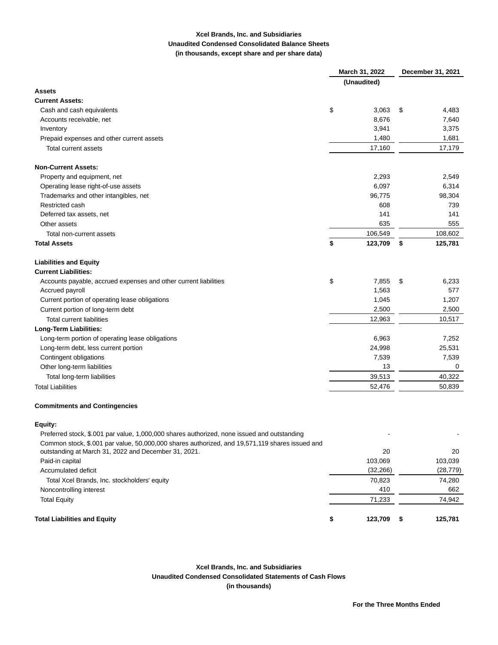# **Xcel Brands, Inc. and Subsidiaries Unaudited Condensed Consolidated Balance Sheets (in thousands, except share and per share data)**

|                                                                                                | March 31, 2022 |             | December 31, 2021 |           |  |
|------------------------------------------------------------------------------------------------|----------------|-------------|-------------------|-----------|--|
|                                                                                                |                | (Unaudited) |                   |           |  |
| Assets                                                                                         |                |             |                   |           |  |
| <b>Current Assets:</b>                                                                         |                |             |                   |           |  |
| Cash and cash equivalents                                                                      | \$             | 3,063       | \$                | 4,483     |  |
| Accounts receivable, net                                                                       |                | 8,676       |                   | 7,640     |  |
| Inventory                                                                                      |                | 3,941       |                   | 3,375     |  |
| Prepaid expenses and other current assets                                                      |                | 1,480       |                   | 1,681     |  |
| Total current assets                                                                           |                | 17,160      |                   | 17,179    |  |
| <b>Non-Current Assets:</b>                                                                     |                |             |                   |           |  |
| Property and equipment, net                                                                    |                | 2,293       |                   | 2,549     |  |
| Operating lease right-of-use assets                                                            |                | 6,097       |                   | 6,314     |  |
| Trademarks and other intangibles, net                                                          |                | 96,775      |                   | 98,304    |  |
| Restricted cash                                                                                |                | 608         |                   | 739       |  |
| Deferred tax assets, net                                                                       |                | 141         |                   | 141       |  |
| Other assets                                                                                   |                | 635         |                   | 555       |  |
| Total non-current assets                                                                       |                | 106,549     |                   | 108,602   |  |
| <b>Total Assets</b>                                                                            | \$             | 123,709     | \$                | 125,781   |  |
| <b>Liabilities and Equity</b>                                                                  |                |             |                   |           |  |
| <b>Current Liabilities:</b>                                                                    |                |             |                   |           |  |
| Accounts payable, accrued expenses and other current liabilities                               | \$             | 7,855       | \$                | 6,233     |  |
| Accrued payroll                                                                                |                | 1,563       |                   | 577       |  |
| Current portion of operating lease obligations                                                 |                | 1,045       |                   | 1,207     |  |
| Current portion of long-term debt                                                              |                | 2,500       |                   | 2,500     |  |
| <b>Total current liabilities</b>                                                               |                | 12,963      |                   | 10,517    |  |
| Long-Term Liabilities:                                                                         |                |             |                   |           |  |
| Long-term portion of operating lease obligations                                               |                | 6,963       |                   | 7,252     |  |
| Long-term debt, less current portion                                                           |                | 24,998      |                   | 25,531    |  |
| Contingent obligations                                                                         |                | 7,539       |                   | 7,539     |  |
| Other long-term liabilities                                                                    |                | 13          |                   | 0         |  |
| Total long-term liabilities                                                                    |                | 39,513      |                   | 40,322    |  |
| <b>Total Liabilities</b>                                                                       |                | 52,476      |                   | 50,839    |  |
| <b>Commitments and Contingencies</b>                                                           |                |             |                   |           |  |
| Equity:                                                                                        |                |             |                   |           |  |
| Preferred stock, \$.001 par value, 1,000,000 shares authorized, none issued and outstanding    |                |             |                   |           |  |
| Common stock, \$.001 par value, 50,000,000 shares authorized, and 19,571,119 shares issued and |                |             |                   |           |  |
| outstanding at March 31, 2022 and December 31, 2021.                                           |                | 20          |                   | 20        |  |
| Paid-in capital                                                                                |                | 103,069     |                   | 103,039   |  |
| Accumulated deficit                                                                            |                | (32, 266)   |                   | (28, 779) |  |
| Total Xcel Brands, Inc. stockholders' equity                                                   |                | 70,823      |                   | 74,280    |  |
| Noncontrolling interest                                                                        |                | 410         |                   | 662       |  |
| <b>Total Equity</b>                                                                            |                | 71,233      |                   | 74,942    |  |
| <b>Total Liabilities and Equity</b>                                                            | \$             | 123,709     | \$                | 125,781   |  |

**Xcel Brands, Inc. and Subsidiaries Unaudited Condensed Consolidated Statements of Cash Flows (in thousands)**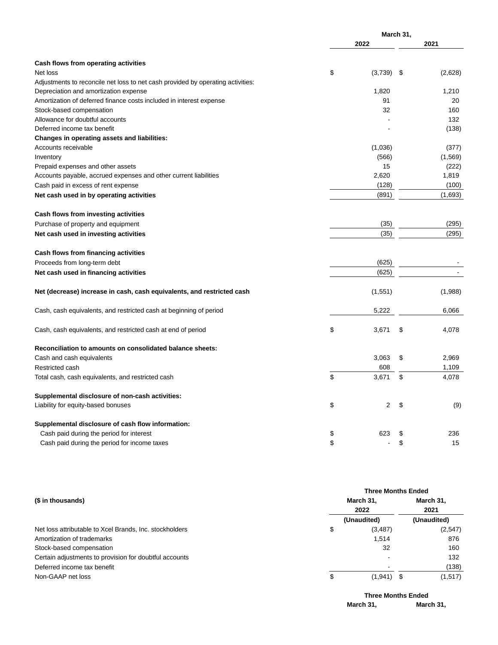|                                                                                 | March 31, |         |     |          |
|---------------------------------------------------------------------------------|-----------|---------|-----|----------|
|                                                                                 |           | 2022    |     | 2021     |
| Cash flows from operating activities                                            |           |         |     |          |
| Net loss                                                                        | \$        | (3,739) | -\$ | (2,628)  |
| Adjustments to reconcile net loss to net cash provided by operating activities: |           |         |     |          |
| Depreciation and amortization expense                                           |           | 1,820   |     | 1,210    |
| Amortization of deferred finance costs included in interest expense             |           | 91      |     | 20       |
| Stock-based compensation                                                        |           | 32      |     | 160      |
| Allowance for doubtful accounts                                                 |           |         |     | 132      |
| Deferred income tax benefit                                                     |           |         |     | (138)    |
| Changes in operating assets and liabilities:                                    |           |         |     |          |
| Accounts receivable                                                             |           | (1,036) |     | (377)    |
| Inventory                                                                       |           | (566)   |     | (1, 569) |
| Prepaid expenses and other assets                                               |           | 15      |     | (222)    |
| Accounts payable, accrued expenses and other current liabilities                |           | 2,620   |     | 1,819    |
| Cash paid in excess of rent expense                                             |           | (128)   |     | (100)    |
| Net cash used in by operating activities                                        |           | (891)   |     | (1,693)  |
| Cash flows from investing activities                                            |           |         |     |          |
| Purchase of property and equipment                                              |           | (35)    |     | (295)    |
| Net cash used in investing activities                                           |           | (35)    |     | (295)    |
| Cash flows from financing activities                                            |           |         |     |          |
| Proceeds from long-term debt                                                    |           | (625)   |     |          |
| Net cash used in financing activities                                           |           | (625)   |     |          |
| Net (decrease) increase in cash, cash equivalents, and restricted cash          |           | (1,551) |     | (1,988)  |
| Cash, cash equivalents, and restricted cash at beginning of period              |           | 5,222   |     | 6,066    |
| Cash, cash equivalents, and restricted cash at end of period                    | \$        | 3,671   | \$  | 4,078    |
| Reconciliation to amounts on consolidated balance sheets:                       |           |         |     |          |
| Cash and cash equivalents                                                       |           | 3,063   | \$  | 2,969    |
| Restricted cash                                                                 |           | 608     |     | 1,109    |
| Total cash, cash equivalents, and restricted cash                               | \$        | 3,671   | \$  | 4,078    |
| Supplemental disclosure of non-cash activities:                                 |           |         |     |          |
| Liability for equity-based bonuses                                              | \$        | 2       | \$  | (9)      |
| Supplemental disclosure of cash flow information:                               |           |         |     |          |
| Cash paid during the period for interest                                        | \$        | 623     | \$  | 236      |
| Cash paid during the period for income taxes                                    | \$        |         | \$  | 15       |

|                                                         | <b>Three Months Ended</b> |                   |  |                   |  |
|---------------------------------------------------------|---------------------------|-------------------|--|-------------------|--|
| (\$ in thousands)                                       |                           | March 31,<br>2022 |  | March 31,<br>2021 |  |
|                                                         |                           |                   |  |                   |  |
|                                                         |                           | (Unaudited)       |  | (Unaudited)       |  |
| Net loss attributable to Xcel Brands, Inc. stockholders | \$                        | (3, 487)          |  | (2,547)           |  |
| Amortization of trademarks                              |                           | 1,514             |  | 876               |  |
| Stock-based compensation                                |                           | 32                |  | 160               |  |
| Certain adjustments to provision for doubtful accounts  |                           |                   |  | 132               |  |
| Deferred income tax benefit                             |                           |                   |  | (138)             |  |
| Non-GAAP net loss                                       | \$                        | $(1,941)$ \$      |  | (1,517)           |  |

**Three Months Ended March 31, March 31,**